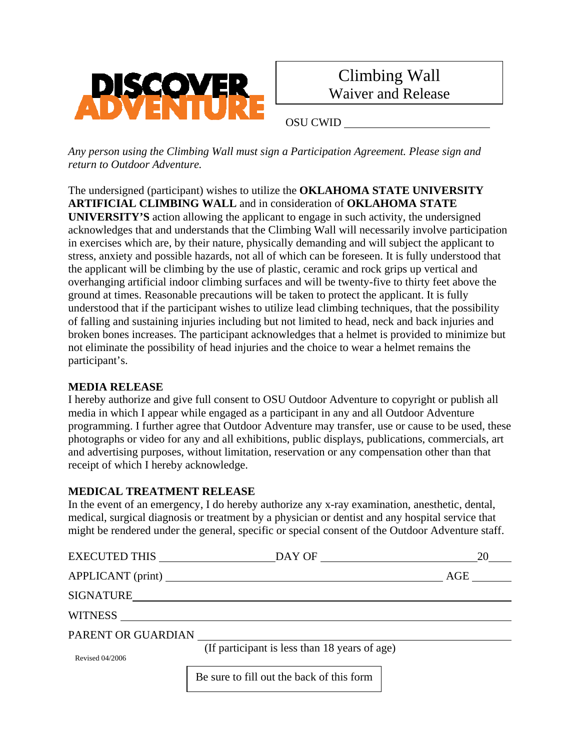



OSU CWID

*Any person using the Climbing Wall must sign a Participation Agreement. Please sign and return to Outdoor Adventure.* 

The undersigned (participant) wishes to utilize the **OKLAHOMA STATE UNIVERSITY ARTIFICIAL CLIMBING WALL** and in consideration of **OKLAHOMA STATE UNIVERSITY'S** action allowing the applicant to engage in such activity, the undersigned acknowledges that and understands that the Climbing Wall will necessarily involve participation in exercises which are, by their nature, physically demanding and will subject the applicant to stress, anxiety and possible hazards, not all of which can be foreseen. It is fully understood that the applicant will be climbing by the use of plastic, ceramic and rock grips up vertical and overhanging artificial indoor climbing surfaces and will be twenty-five to thirty feet above the ground at times. Reasonable precautions will be taken to protect the applicant. It is fully understood that if the participant wishes to utilize lead climbing techniques, that the possibility of falling and sustaining injuries including but not limited to head, neck and back injuries and broken bones increases. The participant acknowledges that a helmet is provided to minimize but not eliminate the possibility of head injuries and the choice to wear a helmet remains the participant's.

## **MEDIA RELEASE**

I hereby authorize and give full consent to OSU Outdoor Adventure to copyright or publish all media in which I appear while engaged as a participant in any and all Outdoor Adventure programming. I further agree that Outdoor Adventure may transfer, use or cause to be used, these photographs or video for any and all exhibitions, public displays, publications, commercials, art and advertising purposes, without limitation, reservation or any compensation other than that receipt of which I hereby acknowledge.

## **MEDICAL TREATMENT RELEASE**

In the event of an emergency, I do hereby authorize any x-ray examination, anesthetic, dental, medical, surgical diagnosis or treatment by a physician or dentist and any hospital service that might be rendered under the general, specific or special consent of the Outdoor Adventure staff.

| EXECUTED THIS      | $DAY$ OF $\qquad \qquad$ $\qquad \qquad$ $\qquad \qquad$ $\qquad \qquad$ $\qquad \qquad$ $\qquad \qquad$ $\qquad \qquad$ $\qquad \qquad$ $\qquad \qquad$ $\qquad \qquad$ $\qquad \qquad$ $\qquad \qquad$ $\qquad \qquad$ $\qquad$ $\qquad$ $\qquad$ $\qquad$ $\qquad$ $\qquad$ $\qquad$ $\qquad$ $\qquad$ $\qquad$ $\qquad$ $\qquad$ $\qquad$ $\qquad$ $\qquad$ $\qquad$ | 20  |
|--------------------|--------------------------------------------------------------------------------------------------------------------------------------------------------------------------------------------------------------------------------------------------------------------------------------------------------------------------------------------------------------------------|-----|
|                    |                                                                                                                                                                                                                                                                                                                                                                          | AGE |
|                    | SIGNATURE                                                                                                                                                                                                                                                                                                                                                                |     |
|                    |                                                                                                                                                                                                                                                                                                                                                                          |     |
| PARENT OR GUARDIAN |                                                                                                                                                                                                                                                                                                                                                                          |     |
| Revised 04/2006    | (If participant is less than 18 years of age)                                                                                                                                                                                                                                                                                                                            |     |
|                    | Be sure to fill out the back of this form                                                                                                                                                                                                                                                                                                                                |     |